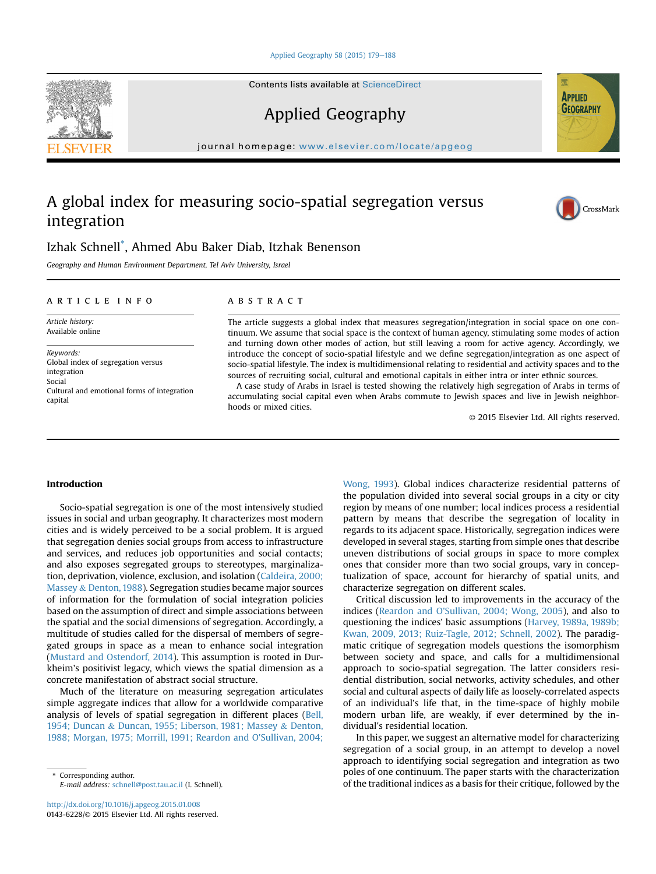[Applied Geography 58 \(2015\) 179](http://dx.doi.org/10.1016/j.apgeog.2015.01.008)-[188](http://dx.doi.org/10.1016/j.apgeog.2015.01.008)

Contents lists available at ScienceDirect

Applied Geography

journal homepage: [www.elsevier.com/locate/apgeog](http://www.elsevier.com/locate/apgeog)

# A global index for measuring socio-spatial segregation versus integration



Geography and Human Environment Department, Tel Aviv University, Israel

# article info

Article history: Available online

Keywords: Global index of segregation versus integration Social Cultural and emotional forms of integration capital

# **ABSTRACT**

The article suggests a global index that measures segregation/integration in social space on one continuum. We assume that social space is the context of human agency, stimulating some modes of action and turning down other modes of action, but still leaving a room for active agency. Accordingly, we introduce the concept of socio-spatial lifestyle and we define segregation/integration as one aspect of socio-spatial lifestyle. The index is multidimensional relating to residential and activity spaces and to the sources of recruiting social, cultural and emotional capitals in either intra or inter ethnic sources.

A case study of Arabs in Israel is tested showing the relatively high segregation of Arabs in terms of accumulating social capital even when Arabs commute to Jewish spaces and live in Jewish neighborhoods or mixed cities.

© 2015 Elsevier Ltd. All rights reserved.

# Introduction

Socio-spatial segregation is one of the most intensively studied issues in social and urban geography. It characterizes most modern cities and is widely perceived to be a social problem. It is argued that segregation denies social groups from access to infrastructure and services, and reduces job opportunities and social contacts; and also exposes segregated groups to stereotypes, marginalization, deprivation, violence, exclusion, and isolation ([Caldeira, 2000;](#page-9-0) [Massey](#page-9-0) & [Denton, 1988](#page-9-0)). Segregation studies became major sources of information for the formulation of social integration policies based on the assumption of direct and simple associations between the spatial and the social dimensions of segregation. Accordingly, a multitude of studies called for the dispersal of members of segregated groups in space as a mean to enhance social integration ([Mustard and Ostendorf, 2014](#page-9-0)). This assumption is rooted in Durkheim's positivist legacy, which views the spatial dimension as a concrete manifestation of abstract social structure.

Much of the literature on measuring segregation articulates simple aggregate indices that allow for a worldwide comparative analysis of levels of spatial segregation in different places ([Bell,](#page-9-0) [1954; Duncan](#page-9-0) & [Duncan, 1955; Liberson, 1981; Massey](#page-9-0) & [Denton,](#page-9-0) [1988; Morgan, 1975; Morrill, 1991; Reardon and O'Sullivan, 2004;](#page-9-0)

Corresponding author. E-mail address: [schnell@post.tau.ac.il](mailto:schnell@post.tau.ac.il) (I. Schnell). [Wong, 1993\)](#page-9-0). Global indices characterize residential patterns of the population divided into several social groups in a city or city region by means of one number; local indices process a residential pattern by means that describe the segregation of locality in regards to its adjacent space. Historically, segregation indices were developed in several stages, starting from simple ones that describe uneven distributions of social groups in space to more complex ones that consider more than two social groups, vary in conceptualization of space, account for hierarchy of spatial units, and characterize segregation on different scales.

Critical discussion led to improvements in the accuracy of the indices [\(Reardon and O'Sullivan, 2004; Wong, 2005](#page-9-0)), and also to questioning the indices' basic assumptions [\(Harvey, 1989a, 1989b;](#page-9-0) [Kwan, 2009, 2013; Ruiz-Tagle, 2012; Schnell, 2002\)](#page-9-0). The paradigmatic critique of segregation models questions the isomorphism between society and space, and calls for a multidimensional approach to socio-spatial segregation. The latter considers residential distribution, social networks, activity schedules, and other social and cultural aspects of daily life as loosely-correlated aspects of an individual's life that, in the time-space of highly mobile modern urban life, are weakly, if ever determined by the individual's residential location.

In this paper, we suggest an alternative model for characterizing segregation of a social group, in an attempt to develop a novel approach to identifying social segregation and integration as two poles of one continuum. The paper starts with the characterization of the traditional indices as a basis for their critique, followed by the





**APPLIED GEOGRAPHY**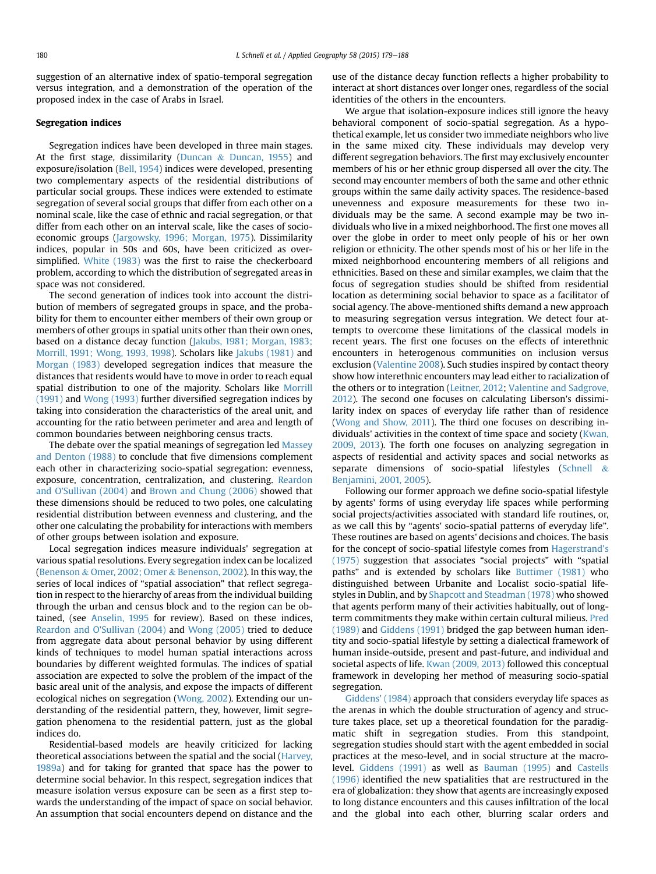suggestion of an alternative index of spatio-temporal segregation versus integration, and a demonstration of the operation of the proposed index in the case of Arabs in Israel.

## Segregation indices

Segregation indices have been developed in three main stages. At the first stage, dissimilarity ([Duncan](#page-9-0) & [Duncan, 1955\)](#page-9-0) and exposure/isolation ([Bell, 1954](#page-9-0)) indices were developed, presenting two complementary aspects of the residential distributions of particular social groups. These indices were extended to estimate segregation of several social groups that differ from each other on a nominal scale, like the case of ethnic and racial segregation, or that differ from each other on an interval scale, like the cases of socioeconomic groups ([Jargowsky, 1996; Morgan, 1975](#page-9-0)). Dissimilarity indices, popular in 50s and 60s, have been criticized as oversimplified. [White \(1983\)](#page-9-0) was the first to raise the checkerboard problem, according to which the distribution of segregated areas in space was not considered.

The second generation of indices took into account the distribution of members of segregated groups in space, and the probability for them to encounter either members of their own group or members of other groups in spatial units other than their own ones, based on a distance decay function [\(Jakubs, 1981; Morgan, 1983;](#page-9-0) [Morrill, 1991; Wong, 1993, 1998](#page-9-0)). Scholars like [Jakubs \(1981\)](#page-9-0) and [Morgan \(1983\)](#page-9-0) developed segregation indices that measure the distances that residents would have to move in order to reach equal spatial distribution to one of the majority. Scholars like [Morrill](#page-9-0) [\(1991\)](#page-9-0) and [Wong \(1993\)](#page-9-0) further diversified segregation indices by taking into consideration the characteristics of the areal unit, and accounting for the ratio between perimeter and area and length of common boundaries between neighboring census tracts.

The debate over the spatial meanings of segregation led [Massey](#page-9-0) [and Denton \(1988\)](#page-9-0) to conclude that five dimensions complement each other in characterizing socio-spatial segregation: evenness, exposure, concentration, centralization, and clustering. [Reardon](#page-9-0) [and O'Sullivan \(2004\)](#page-9-0) and [Brown and Chung \(2006\)](#page-9-0) showed that these dimensions should be reduced to two poles, one calculating residential distribution between evenness and clustering, and the other one calculating the probability for interactions with members of other groups between isolation and exposure.

Local segregation indices measure individuals' segregation at various spatial resolutions. Every segregation index can be localized ([Benenson](#page-9-0) & [Omer, 2002; Omer](#page-9-0) & [Benenson, 2002](#page-9-0)). In this way, the series of local indices of "spatial association" that reflect segregation in respect to the hierarchy of areas from the individual building through the urban and census block and to the region can be obtained, (see [Anselin, 1995](#page-9-0) for review). Based on these indices, [Reardon and O'Sullivan \(2004\)](#page-9-0) and [Wong \(2005\)](#page-9-0) tried to deduce from aggregate data about personal behavior by using different kinds of techniques to model human spatial interactions across boundaries by different weighted formulas. The indices of spatial association are expected to solve the problem of the impact of the basic areal unit of the analysis, and expose the impacts of different ecological niches on segregation ([Wong, 2002\)](#page-9-0). Extending our understanding of the residential pattern, they, however, limit segregation phenomena to the residential pattern, just as the global indices do.

Residential-based models are heavily criticized for lacking theoretical associations between the spatial and the social ([Harvey,](#page-9-0) [1989a\)](#page-9-0) and for taking for granted that space has the power to determine social behavior. In this respect, segregation indices that measure isolation versus exposure can be seen as a first step towards the understanding of the impact of space on social behavior. An assumption that social encounters depend on distance and the use of the distance decay function reflects a higher probability to interact at short distances over longer ones, regardless of the social identities of the others in the encounters.

We argue that isolation-exposure indices still ignore the heavy behavioral component of socio-spatial segregation. As a hypothetical example, let us consider two immediate neighbors who live in the same mixed city. These individuals may develop very different segregation behaviors. The first may exclusively encounter members of his or her ethnic group dispersed all over the city. The second may encounter members of both the same and other ethnic groups within the same daily activity spaces. The residence-based unevenness and exposure measurements for these two individuals may be the same. A second example may be two individuals who live in a mixed neighborhood. The first one moves all over the globe in order to meet only people of his or her own religion or ethnicity. The other spends most of his or her life in the mixed neighborhood encountering members of all religions and ethnicities. Based on these and similar examples, we claim that the focus of segregation studies should be shifted from residential location as determining social behavior to space as a facilitator of social agency. The above-mentioned shifts demand a new approach to measuring segregation versus integration. We detect four attempts to overcome these limitations of the classical models in recent years. The first one focuses on the effects of interethnic encounters in heterogenous communities on inclusion versus exclusion [\(Valentine 2008](#page-9-0)). Such studies inspired by contact theory show how interethnic encounters may lead either to racialization of the others or to integration ([Leitner, 2012](#page-9-0); [Valentine and Sadgrove,](#page-9-0) [2012](#page-9-0)). The second one focuses on calculating Liberson's dissimilarity index on spaces of everyday life rather than of residence ([Wong and Show, 2011](#page-9-0)). The third one focuses on describing individuals' activities in the context of time space and society ([Kwan,](#page-9-0) [2009, 2013](#page-9-0)). The forth one focuses on analyzing segregation in aspects of residential and activity spaces and social networks as separate dimensions of socio-spatial lifestyles ([Schnell](#page-9-0) & [Benjamini, 2001, 2005](#page-9-0)).

Following our former approach we define socio-spatial lifestyle by agents' forms of using everyday life spaces while performing social projects/activities associated with standard life routines, or, as we call this by "agents' socio-spatial patterns of everyday life". These routines are based on agents' decisions and choices. The basis for the concept of socio-spatial lifestyle comes from [Hagerstrand's](#page-9-0) [\(1975\)](#page-9-0) suggestion that associates "social projects" with "spatial paths" and is extended by scholars like [Buttimer \(1981\)](#page-9-0) who distinguished between Urbanite and Localist socio-spatial lifestyles in Dublin, and by [Shapcott and Steadman \(1978\)](#page-9-0) who showed that agents perform many of their activities habitually, out of longterm commitments they make within certain cultural milieus. [Pred](#page-9-0) [\(1989\)](#page-9-0) and [Giddens \(1991\)](#page-9-0) bridged the gap between human identity and socio-spatial lifestyle by setting a dialectical framework of human inside-outside, present and past-future, and individual and societal aspects of life. [Kwan \(2009, 2013\)](#page-9-0) followed this conceptual framework in developing her method of measuring socio-spatial segregation.

[Giddens' \(1984\)](#page-9-0) approach that considers everyday life spaces as the arenas in which the double structuration of agency and structure takes place, set up a theoretical foundation for the paradigmatic shift in segregation studies. From this standpoint, segregation studies should start with the agent embedded in social practices at the meso-level, and in social structure at the macrolevel. [Giddens \(1991\)](#page-9-0) as well as [Bauman \(1995\)](#page-9-0) and [Castells](#page-9-0) [\(1996\)](#page-9-0) identified the new spatialities that are restructured in the era of globalization: they show that agents are increasingly exposed to long distance encounters and this causes infiltration of the local and the global into each other, blurring scalar orders and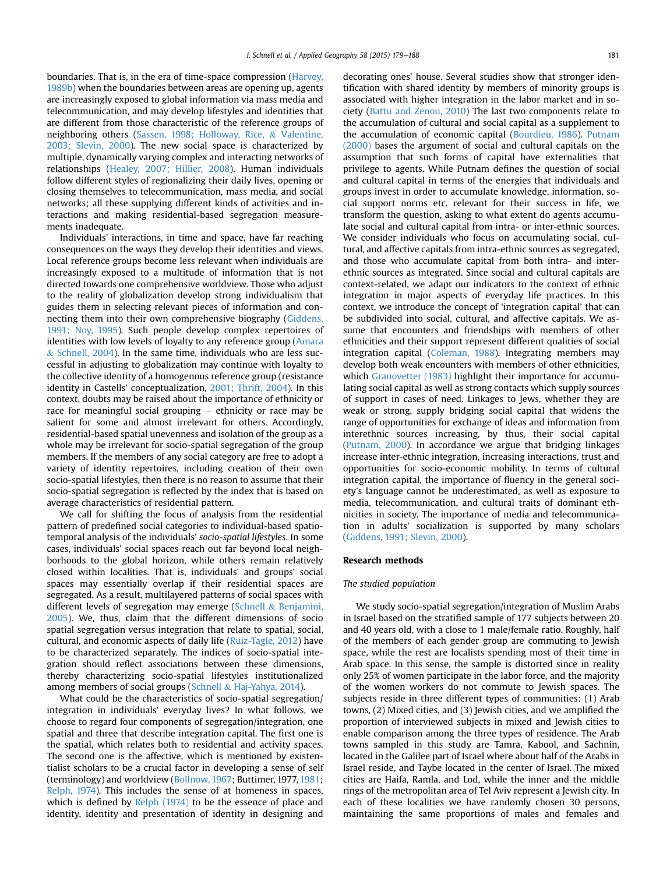boundaries. That is, in the era of time-space compression [\(Harvey,](#page-9-0) [1989b\)](#page-9-0) when the boundaries between areas are opening up, agents are increasingly exposed to global information via mass media and telecommunication, and may develop lifestyles and identities that are different from those characteristic of the reference groups of neighboring others [\(Sassen, 1998; Holloway, Rice,](#page-9-0) & [Valentine,](#page-9-0) [2003; Slevin, 2000](#page-9-0)). The new social space is characterized by multiple, dynamically varying complex and interacting networks of relationships ([Healey, 2007; Hillier, 2008\)](#page-9-0). Human individuals follow different styles of regionalizing their daily lives, opening or closing themselves to telecommunication, mass media, and social networks; all these supplying different kinds of activities and interactions and making residential-based segregation measurements inadequate.

Individuals' interactions, in time and space, have far reaching consequences on the ways they develop their identities and views. Local reference groups become less relevant when individuals are increasingly exposed to a multitude of information that is not directed towards one comprehensive worldview. Those who adjust to the reality of globalization develop strong individualism that guides them in selecting relevant pieces of information and connecting them into their own comprehensive biography ([Giddens,](#page-9-0) [1991; Noy, 1995](#page-9-0)). Such people develop complex repertoires of identities with low levels of loyalty to any reference group ([Amara](#page-9-0)  $&$  [Schnell, 2004](#page-9-0)). In the same time, individuals who are less successful in adjusting to globalization may continue with loyalty to the collective identity of a homogenous reference group (resistance identity in Castells' conceptualization, [2001; Thrift, 2004](#page-9-0)). In this context, doubts may be raised about the importance of ethnicity or race for meaningful social grouping  $-$  ethnicity or race may be salient for some and almost irrelevant for others. Accordingly, residential-based spatial unevenness and isolation of the group as a whole may be irrelevant for socio-spatial segregation of the group members. If the members of any social category are free to adopt a variety of identity repertoires, including creation of their own socio-spatial lifestyles, then there is no reason to assume that their socio-spatial segregation is reflected by the index that is based on average characteristics of residential pattern.

We call for shifting the focus of analysis from the residential pattern of predefined social categories to individual-based spatiotemporal analysis of the individuals' socio-spatial lifestyles. In some cases, individuals' social spaces reach out far beyond local neighborhoods to the global horizon, while others remain relatively closed within localities. That is, individuals' and groups' social spaces may essentially overlap if their residential spaces are segregated. As a result, multilayered patterns of social spaces with different levels of segregation may emerge [\(Schnell](#page-9-0) & [Benjamini,](#page-9-0) [2005\)](#page-9-0). We, thus, claim that the different dimensions of socio spatial segregation versus integration that relate to spatial, social, cultural, and economic aspects of daily life ([Ruiz-Tagle, 2012](#page-9-0)) have to be characterized separately. The indices of socio-spatial integration should reflect associations between these dimensions, thereby characterizing socio-spatial lifestyles institutionalized among members of social groups ([Schnell](#page-9-0) & [Haj-Yahya, 2014](#page-9-0)).

What could be the characteristics of socio-spatial segregation/ integration in individuals' everyday lives? In what follows, we choose to regard four components of segregation/integration, one spatial and three that describe integration capital. The first one is the spatial, which relates both to residential and activity spaces. The second one is the affective, which is mentioned by existentialist scholars to be a crucial factor in developing a sense of self (terminology) and worldview [\(Bollnow, 1967;](#page-9-0) Buttimer, 1977, [1981;](#page-9-0) [Relph, 1974\)](#page-9-0). This includes the sense of at homeness in spaces, which is defined by  $\text{Re} \ln(1974)$  to be the essence of place and identity, identity and presentation of identity in designing and

decorating ones' house. Several studies show that stronger identification with shared identity by members of minority groups is associated with higher integration in the labor market and in society ([Battu and Zenou, 2010](#page-9-0)) The last two components relate to the accumulation of cultural and social capital as a supplement to the accumulation of economic capital [\(Bourdieu, 1986](#page-9-0)). [Putnam](#page-9-0) [\(2000\)](#page-9-0) bases the argument of social and cultural capitals on the assumption that such forms of capital have externalities that privilege to agents. While Putnam defines the question of social and cultural capital in terms of the energies that individuals and groups invest in order to accumulate knowledge, information, social support norms etc. relevant for their success in life, we transform the question, asking to what extent do agents accumulate social and cultural capital from intra- or inter-ethnic sources. We consider individuals who focus on accumulating social, cultural, and affective capitals from intra-ethnic sources as segregated, and those who accumulate capital from both intra- and interethnic sources as integrated. Since social and cultural capitals are context-related, we adapt our indicators to the context of ethnic integration in major aspects of everyday life practices. In this context, we introduce the concept of 'integration capital' that can be subdivided into social, cultural, and affective capitals. We assume that encounters and friendships with members of other ethnicities and their support represent different qualities of social integration capital [\(Coleman, 1988](#page-9-0)). Integrating members may develop both weak encounters with members of other ethnicities, which [Granovetter \(1983\)](#page-9-0) highlight their importance for accumulating social capital as well as strong contacts which supply sources of support in cases of need. Linkages to Jews, whether they are weak or strong, supply bridging social capital that widens the range of opportunities for exchange of ideas and information from interethnic sources increasing, by thus, their social capital ([Putnam, 2000](#page-9-0)). In accordance we argue that bridging linkages increase inter-ethnic integration, increasing interactions, trust and opportunities for socio-economic mobility. In terms of cultural integration capital, the importance of fluency in the general society's language cannot be underestimated, as well as exposure to media, telecommunication, and cultural traits of dominant ethnicities in society. The importance of media and telecommunication in adults' socialization is supported by many scholars ([Giddens, 1991; Slevin, 2000](#page-9-0)).

#### Research methods

#### The studied population

We study socio-spatial segregation/integration of Muslim Arabs in Israel based on the stratified sample of 177 subjects between 20 and 40 years old, with a close to 1 male/female ratio. Roughly, half of the members of each gender group are commuting to Jewish space, while the rest are localists spending most of their time in Arab space. In this sense, the sample is distorted since in reality only 25% of women participate in the labor force, and the majority of the women workers do not commute to Jewish spaces. The subjects reside in three different types of communities: (1) Arab towns, (2) Mixed cities, and (3) Jewish cities, and we amplified the proportion of interviewed subjects in mixed and Jewish cities to enable comparison among the three types of residence. The Arab towns sampled in this study are Tamra, Kabool, and Sachnin, located in the Galilee part of Israel where about half of the Arabs in Israel reside, and Taybe located in the center of Israel. The mixed cities are Haifa, Ramla, and Lod, while the inner and the middle rings of the metropolitan area of Tel Aviv represent a Jewish city. In each of these localities we have randomly chosen 30 persons, maintaining the same proportions of males and females and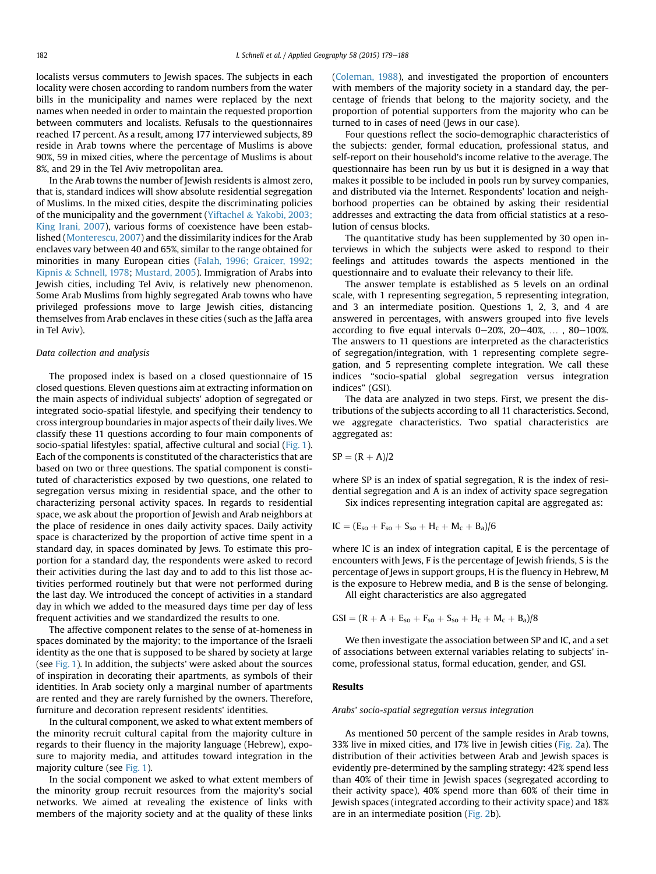localists versus commuters to Jewish spaces. The subjects in each locality were chosen according to random numbers from the water bills in the municipality and names were replaced by the next names when needed in order to maintain the requested proportion between commuters and localists. Refusals to the questionnaires reached 17 percent. As a result, among 177 interviewed subjects, 89 reside in Arab towns where the percentage of Muslims is above 90%, 59 in mixed cities, where the percentage of Muslims is about 8%, and 29 in the Tel Aviv metropolitan area.

In the Arab towns the number of Jewish residents is almost zero, that is, standard indices will show absolute residential segregation of Muslims. In the mixed cities, despite the discriminating policies of the municipality and the government ([Yiftachel](#page-9-0) & [Yakobi, 2003;](#page-9-0) [King Irani, 2007](#page-9-0)), various forms of coexistence have been established [\(Monterescu, 2007\)](#page-9-0) and the dissimilarity indices for the Arab enclaves vary between 40 and 65%, similar to the range obtained for minorities in many European cities ([Falah, 1996; Graicer, 1992;](#page-9-0) [Kipnis](#page-9-0) & [Schnell, 1978](#page-9-0); [Mustard, 2005](#page-9-0)). Immigration of Arabs into Jewish cities, including Tel Aviv, is relatively new phenomenon. Some Arab Muslims from highly segregated Arab towns who have privileged professions move to large Jewish cities, distancing themselves from Arab enclaves in these cities (such as the Jaffa area in Tel Aviv).

# Data collection and analysis

The proposed index is based on a closed questionnaire of 15 closed questions. Eleven questions aim at extracting information on the main aspects of individual subjects' adoption of segregated or integrated socio-spatial lifestyle, and specifying their tendency to cross intergroup boundaries in major aspects of their daily lives. We classify these 11 questions according to four main components of socio-spatial lifestyles: spatial, affective cultural and social [\(Fig. 1\)](#page-4-0). Each of the components is constituted of the characteristics that are based on two or three questions. The spatial component is constituted of characteristics exposed by two questions, one related to segregation versus mixing in residential space, and the other to characterizing personal activity spaces. In regards to residential space, we ask about the proportion of Jewish and Arab neighbors at the place of residence in ones daily activity spaces. Daily activity space is characterized by the proportion of active time spent in a standard day, in spaces dominated by Jews. To estimate this proportion for a standard day, the respondents were asked to record their activities during the last day and to add to this list those activities performed routinely but that were not performed during the last day. We introduced the concept of activities in a standard day in which we added to the measured days time per day of less frequent activities and we standardized the results to one.

The affective component relates to the sense of at-homeness in spaces dominated by the majority; to the importance of the Israeli identity as the one that is supposed to be shared by society at large (see [Fig. 1\)](#page-4-0). In addition, the subjects' were asked about the sources of inspiration in decorating their apartments, as symbols of their identities. In Arab society only a marginal number of apartments are rented and they are rarely furnished by the owners. Therefore, furniture and decoration represent residents' identities.

In the cultural component, we asked to what extent members of the minority recruit cultural capital from the majority culture in regards to their fluency in the majority language (Hebrew), exposure to majority media, and attitudes toward integration in the majority culture (see [Fig. 1\)](#page-4-0).

In the social component we asked to what extent members of the minority group recruit resources from the majority's social networks. We aimed at revealing the existence of links with members of the majority society and at the quality of these links ([Coleman, 1988\)](#page-9-0), and investigated the proportion of encounters with members of the majority society in a standard day, the percentage of friends that belong to the majority society, and the proportion of potential supporters from the majority who can be turned to in cases of need (Jews in our case).

Four questions reflect the socio-demographic characteristics of the subjects: gender, formal education, professional status, and self-report on their household's income relative to the average. The questionnaire has been run by us but it is designed in a way that makes it possible to be included in pools run by survey companies, and distributed via the Internet. Respondents' location and neighborhood properties can be obtained by asking their residential addresses and extracting the data from official statistics at a resolution of census blocks.

The quantitative study has been supplemented by 30 open interviews in which the subjects were asked to respond to their feelings and attitudes towards the aspects mentioned in the questionnaire and to evaluate their relevancy to their life.

The answer template is established as 5 levels on an ordinal scale, with 1 representing segregation, 5 representing integration, and 3 an intermediate position. Questions 1, 2, 3, and 4 are answered in percentages, with answers grouped into five levels according to five equal intervals  $0-20\%$ ,  $20-40\%$ , ...,  $80-100\%$ . The answers to 11 questions are interpreted as the characteristics of segregation/integration, with 1 representing complete segregation, and 5 representing complete integration. We call these indices "socio-spatial global segregation versus integration indices" (GSI).

The data are analyzed in two steps. First, we present the distributions of the subjects according to all 11 characteristics. Second, we aggregate characteristics. Two spatial characteristics are aggregated as:

$$
SP = (R + A)/2
$$

where SP is an index of spatial segregation, R is the index of residential segregation and A is an index of activity space segregation

Six indices representing integration capital are aggregated as:

$$
IC = (E_{so} + F_{so} + S_{so} + H_c + M_c + B_a)/6
$$

where IC is an index of integration capital, E is the percentage of encounters with Jews, F is the percentage of Jewish friends, S is the percentage of Jews in support groups, H is the fluency in Hebrew, M is the exposure to Hebrew media, and B is the sense of belonging.

All eight characteristics are also aggregated

$$
GSI = (R+A+E_{so}+F_{so}+S_{so}+H_c+M_c+B_a)/8 \\
$$

We then investigate the association between SP and IC, and a set of associations between external variables relating to subjects' income, professional status, formal education, gender, and GSI.

#### Results

#### Arabs' socio-spatial segregation versus integration

As mentioned 50 percent of the sample resides in Arab towns, 33% live in mixed cities, and 17% live in Jewish cities [\(Fig. 2](#page-5-0)a). The distribution of their activities between Arab and Jewish spaces is evidently pre-determined by the sampling strategy: 42% spend less than 40% of their time in Jewish spaces (segregated according to their activity space), 40% spend more than 60% of their time in Jewish spaces (integrated according to their activity space) and 18% are in an intermediate position [\(Fig. 2](#page-5-0)b).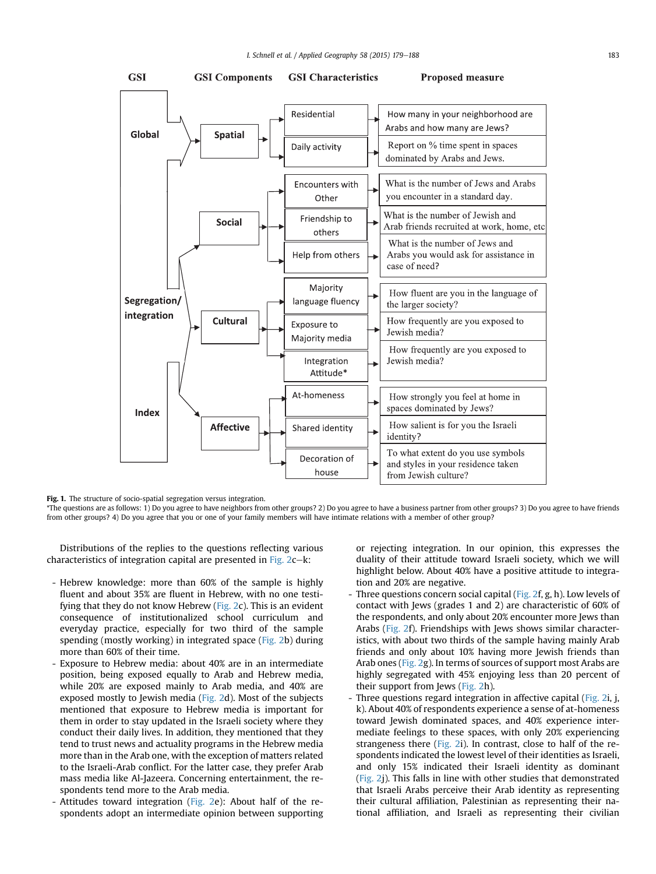<span id="page-4-0"></span>

Fig. 1. The structure of socio-spatial segregation versus integration.

\*The questions are as follows: 1) Do you agree to have neighbors from other groups? 2) Do you agree to have a business partner from other groups? 3) Do you agree to have friends from other groups? 4) Do you agree that you or one of your family members will have intimate relations with a member of other group?

Distributions of the replies to the questions reflecting various characteristics of integration capital are presented in Fig.  $2c-k$ :

- Hebrew knowledge: more than 60% of the sample is highly fluent and about 35% are fluent in Hebrew, with no one testifying that they do not know Hebrew ([Fig. 2c](#page-5-0)). This is an evident consequence of institutionalized school curriculum and everyday practice, especially for two third of the sample spending (mostly working) in integrated space ([Fig. 2](#page-5-0)b) during more than 60% of their time.
- Exposure to Hebrew media: about 40% are in an intermediate position, being exposed equally to Arab and Hebrew media, while 20% are exposed mainly to Arab media, and 40% are exposed mostly to Jewish media [\(Fig. 2d](#page-5-0)). Most of the subjects mentioned that exposure to Hebrew media is important for them in order to stay updated in the Israeli society where they conduct their daily lives. In addition, they mentioned that they tend to trust news and actuality programs in the Hebrew media more than in the Arab one, with the exception of matters related to the Israeli-Arab conflict. For the latter case, they prefer Arab mass media like Al-Jazeera. Concerning entertainment, the respondents tend more to the Arab media.
- Attitudes toward integration [\(Fig. 2e](#page-5-0)): About half of the respondents adopt an intermediate opinion between supporting

or rejecting integration. In our opinion, this expresses the duality of their attitude toward Israeli society, which we will highlight below. About 40% have a positive attitude to integration and 20% are negative.

- Three questions concern social capital [\(Fig. 2f](#page-5-0), g, h). Low levels of contact with Jews (grades 1 and 2) are characteristic of 60% of the respondents, and only about 20% encounter more Jews than Arabs ([Fig. 2](#page-5-0)f). Friendships with Jews shows similar characteristics, with about two thirds of the sample having mainly Arab friends and only about 10% having more Jewish friends than Arab ones [\(Fig. 2](#page-5-0)g). In terms of sources of support most Arabs are highly segregated with 45% enjoying less than 20 percent of their support from Jews [\(Fig. 2h](#page-5-0)).
- Three questions regard integration in affective capital [\(Fig. 2](#page-5-0)i, j, k). About 40% of respondents experience a sense of at-homeness toward Jewish dominated spaces, and 40% experience intermediate feelings to these spaces, with only 20% experiencing strangeness there [\(Fig. 2](#page-5-0)i). In contrast, close to half of the respondents indicated the lowest level of their identities as Israeli, and only 15% indicated their Israeli identity as dominant [\(Fig. 2j](#page-5-0)). This falls in line with other studies that demonstrated that Israeli Arabs perceive their Arab identity as representing their cultural affiliation, Palestinian as representing their national affiliation, and Israeli as representing their civilian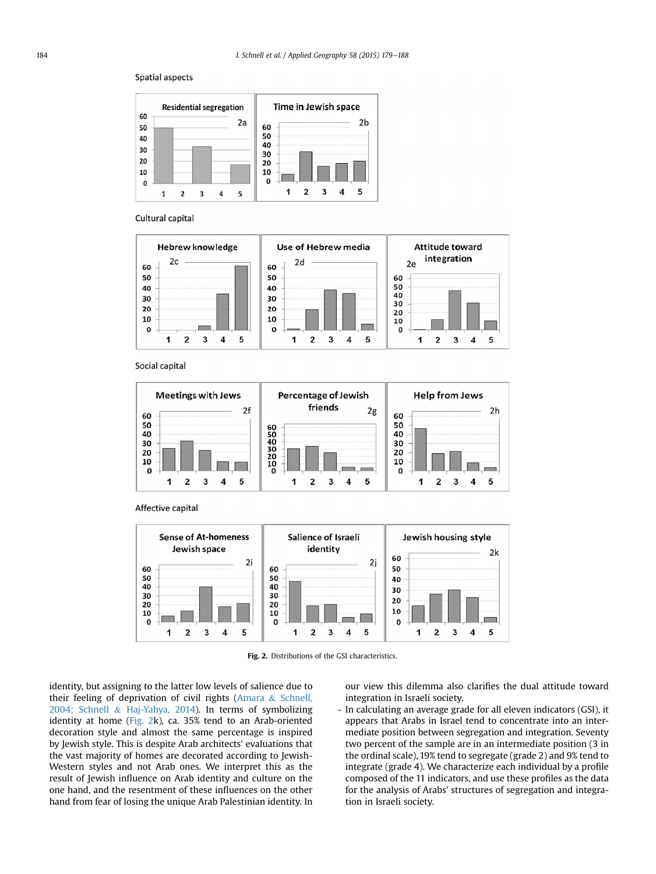# Spatial aspects

<span id="page-5-0"></span>

Cultural capital



Social capital



Affective capital



Fig. 2. Distributions of the GSI characteristics.

identity, but assigning to the latter low levels of salience due to their feeling of deprivation of civil rights [\(Amara](#page-9-0) & [Schnell,](#page-9-0) [2004; Schnell](#page-9-0) & [Haj-Yahya, 2014](#page-9-0)). In terms of symbolizing identity at home (Fig. 2k), ca. 35% tend to an Arab-oriented decoration style and almost the same percentage is inspired by Jewish style. This is despite Arab architects' evaluations that the vast majority of homes are decorated according to Jewish-Western styles and not Arab ones. We interpret this as the result of Jewish influence on Arab identity and culture on the one hand, and the resentment of these influences on the other hand from fear of losing the unique Arab Palestinian identity. In our view this dilemma also clarifies the dual attitude toward integration in Israeli society.

- In calculating an average grade for all eleven indicators (GSI), it appears that Arabs in Israel tend to concentrate into an intermediate position between segregation and integration. Seventy two percent of the sample are in an intermediate position (3 in the ordinal scale), 19% tend to segregate (grade 2) and 9% tend to integrate (grade 4). We characterize each individual by a profile composed of the 11 indicators, and use these profiles as the data for the analysis of Arabs' structures of segregation and integration in Israeli society.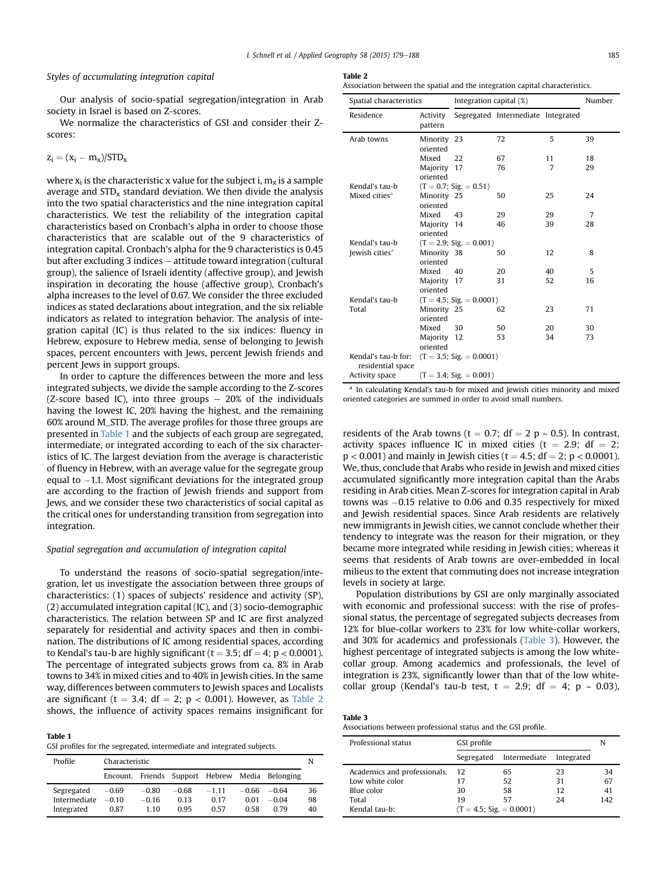## Styles of accumulating integration capital

Our analysis of socio-spatial segregation/integration in Arab society in Israel is based on Z-scores.

We normalize the characteristics of GSI and consider their Zscores:

 $z_i = (x_i - m_x)/STD_x$ 

where  $x_i$  is the characteristic x value for the subject i,  $m_x$  is a sample average and  $STD<sub>x</sub>$  standard deviation. We then divide the analysis into the two spatial characteristics and the nine integration capital characteristics. We test the reliability of the integration capital characteristics based on Cronbach's alpha in order to choose those characteristics that are scalable out of the 9 characteristics of integration capital. Cronbach's alpha for the 9 characteristics is 0.45 but after excluding 3 indices  $-$  attitude toward integration (cultural group), the salience of Israeli identity (affective group), and Jewish inspiration in decorating the house (affective group), Cronbach's alpha increases to the level of 0.67. We consider the three excluded indices as stated declarations about integration, and the six reliable indicators as related to integration behavior. The analysis of integration capital (IC) is thus related to the six indices: fluency in Hebrew, exposure to Hebrew media, sense of belonging to Jewish spaces, percent encounters with Jews, percent Jewish friends and percent Jews in support groups.

In order to capture the differences between the more and less integrated subjects, we divide the sample according to the Z-scores (Z-score based IC), into three groups  $-20\%$  of the individuals having the lowest IC, 20% having the highest, and the remaining 60% around M\_STD. The average profiles for those three groups are presented in Table 1 and the subjects of each group are segregated, intermediate, or integrated according to each of the six characteristics of IC. The largest deviation from the average is characteristic of fluency in Hebrew, with an average value for the segregate group equal to  $-1.1$ . Most significant deviations for the integrated group are according to the fraction of Jewish friends and support from Jews, and we consider these two characteristics of social capital as the critical ones for understanding transition from segregation into integration.

#### Spatial segregation and accumulation of integration capital

To understand the reasons of socio-spatial segregation/integration, let us investigate the association between three groups of characteristics: (1) spaces of subjects' residence and activity (SP), (2) accumulated integration capital (IC), and (3) socio-demographic characteristics. The relation between SP and IC are first analyzed separately for residential and activity spaces and then in combination. The distributions of IC among residential spaces, according to Kendal's tau-b are highly significant ( $t = 3.5$ ; df = 4; p < 0.0001). The percentage of integrated subjects grows from ca. 8% in Arab towns to 34% in mixed cities and to 40% in Jewish cities. In the same way, differences between commuters to Jewish spaces and Localists are significant (t = 3.4; df = 2; p < 0.001). However, as Table 2 shows, the influence of activity spaces remains insignificant for

#### Table 1

GSI profiles for the segregated, intermediate and integrated subjects.

| Profile                    | Characteristic     |                    |                                 |                |              |                  | N        |
|----------------------------|--------------------|--------------------|---------------------------------|----------------|--------------|------------------|----------|
|                            |                    |                    | Encount, Friends Support Hebrew |                |              | Media Belonging  |          |
| Segregated<br>Intermediate | $-0.69$<br>$-0.10$ | $-0.80$<br>$-0.16$ | $-0.68$<br>0.13                 | $-111$<br>0.17 | -0.66        | -0.64<br>$-0.04$ | 36<br>98 |
| Integrated                 | 0.87               | 1.10               | 0.95                            | 0.57           | 0.01<br>0.58 | በ 79             | 40       |

# Table 2

Association between the spatial and the integration capital characteristics.

| Spatial characteristics                  |                         | Integration capital (%)    | Number                             |    |                |
|------------------------------------------|-------------------------|----------------------------|------------------------------------|----|----------------|
| Residence                                | Activity<br>pattern     |                            | Segregated Intermediate Integrated |    |                |
| Arab towns                               | Minority 23<br>oriented |                            | 72                                 | 5  | 39             |
|                                          | Mixed                   | 22                         | 67                                 | 11 | 18             |
|                                          | Majority 17<br>oriented |                            | 76                                 | 7  | 29             |
| Kendal's tau-b                           |                         | $(T = 0.7; Sig. = 0.51)$   |                                    |    |                |
| Mixed cities <sup>a</sup>                | Minority 25<br>oriented |                            | 50                                 | 25 | 24             |
|                                          | Mixed                   | 43                         | 29                                 | 29 | $\overline{7}$ |
|                                          | Majority 14<br>oriented |                            | 46                                 | 39 | 28             |
| Kendal's tau-b                           |                         | $(T = 2.9; Sig. = 0.001)$  |                                    |    |                |
| Jewish cities <sup>a</sup>               | Minority 38<br>oriented |                            | 50                                 | 12 | 8              |
|                                          | Mixed                   | 40                         | 20                                 | 40 | 5              |
|                                          | Majority 17<br>oriented |                            | 31                                 | 52 | 16             |
| Kendal's tau-b                           |                         | $(T = 4.5; Sig. = 0.0001)$ |                                    |    |                |
| Total                                    | Minority 25<br>oriented |                            | 62                                 | 23 | 71             |
|                                          | Mixed                   | 30                         | 50                                 | 20 | 30             |
|                                          | Majority 12<br>oriented |                            | 53                                 | 34 | 73             |
| Kendal's tau-b for:<br>residential space |                         | $(T = 3.5; Sig. = 0.0001)$ |                                    |    |                |
| Activity space                           |                         | $(T = 3.4; Sig. = 0.001)$  |                                    |    |                |

<sup>a</sup> In calculating Kendal's tau-b for mixed and Jewish cities minority and mixed oriented categories are summed in order to avoid small numbers.

residents of the Arab towns (t = 0.7; df = 2 p  $\sim$  0.5). In contrast, activity spaces influence IC in mixed cities ( $t = 2.9$ ; df = 2;  $p < 0.001$ ) and mainly in Jewish cities ( $t = 4.5$ ; df = 2;  $p < 0.0001$ ). We, thus, conclude that Arabs who reside in Jewish and mixed cities accumulated significantly more integration capital than the Arabs residing in Arab cities. Mean Z-scores for integration capital in Arab towns was -0.15 relative to 0.06 and 0.35 respectively for mixed and Jewish residential spaces. Since Arab residents are relatively new immigrants in Jewish cities, we cannot conclude whether their tendency to integrate was the reason for their migration, or they became more integrated while residing in Jewish cities; whereas it seems that residents of Arab towns are over-embedded in local milieus to the extent that commuting does not increase integration levels in society at large.

Population distributions by GSI are only marginally associated with economic and professional success: with the rise of professional status, the percentage of segregated subjects decreases from 12% for blue-collar workers to 23% for low white-collar workers, and 30% for academics and professionals (Table 3). However, the highest percentage of integrated subjects is among the low whitecollar group. Among academics and professionals, the level of integration is 23%, significantly lower than that of the low whitecollar group (Kendal's tau-b test,  $t = 2.9$ ; df = 4; p ~ 0.03),

| Table 3                                                       |  |  |  |  |
|---------------------------------------------------------------|--|--|--|--|
| Associations between professional status and the GSI profile. |  |  |  |  |

| Professional status          | GSI profile                |                         |            | N   |
|------------------------------|----------------------------|-------------------------|------------|-----|
|                              |                            | Segregated Intermediate | Integrated |     |
| Academics and professionals. | -12                        | 65                      | 23         | 34  |
| Low white color              | 17                         | 52                      | 31         | 67  |
| Blue color                   | 30                         | 58                      | 12         | 41  |
| Total                        | 19                         | 57                      | 24         | 142 |
| Kendal tau-b:                | $(T = 4.5; Sig. = 0.0001)$ |                         |            |     |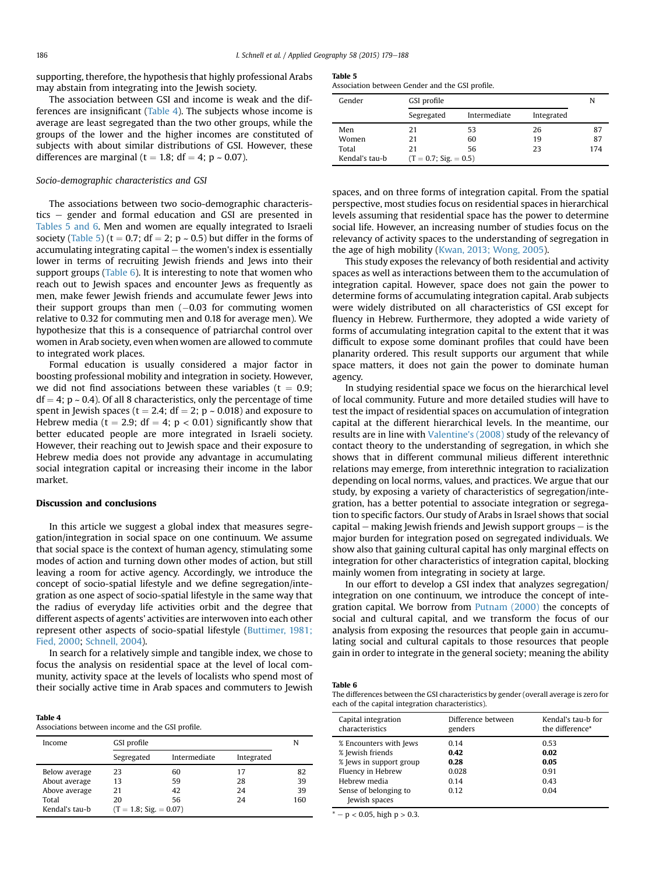supporting, therefore, the hypothesis that highly professional Arabs may abstain from integrating into the Jewish society.

The association between GSI and income is weak and the differences are insignificant (Table 4). The subjects whose income is average are least segregated than the two other groups, while the groups of the lower and the higher incomes are constituted of subjects with about similar distributions of GSI. However, these differences are marginal (t = 1.8; df = 4; p  $\sim$  0.07).

# Socio-demographic characteristics and GSI

The associations between two socio-demographic characteris $tics$  – gender and formal education and GSI are presented in Tables 5 and 6. Men and women are equally integrated to Israeli society (Table 5) (t = 0.7; df = 2; p  $\sim$  0.5) but differ in the forms of  $accumulating$  integrating capital  $-$  the women's index is essentially lower in terms of recruiting Jewish friends and Jews into their support groups (Table 6). It is interesting to note that women who reach out to Jewish spaces and encounter Jews as frequently as men, make fewer Jewish friends and accumulate fewer Jews into their support groups than men  $(-0.03)$  for commuting women relative to 0.32 for commuting men and 0.18 for average men). We hypothesize that this is a consequence of patriarchal control over women in Arab society, even when women are allowed to commute to integrated work places.

Formal education is usually considered a major factor in boosting professional mobility and integration in society. However, we did not find associations between these variables ( $t = 0.9$ ;  $df = 4$ ; p ~ 0.4). Of all 8 characteristics, only the percentage of time spent in Jewish spaces ( $t = 2.4$ ; df = 2; p ~ 0.018) and exposure to Hebrew media (t = 2.9; df = 4;  $p < 0.01$ ) significantly show that better educated people are more integrated in Israeli society. However, their reaching out to Jewish space and their exposure to Hebrew media does not provide any advantage in accumulating social integration capital or increasing their income in the labor market.

#### Discussion and conclusions

In this article we suggest a global index that measures segregation/integration in social space on one continuum. We assume that social space is the context of human agency, stimulating some modes of action and turning down other modes of action, but still leaving a room for active agency. Accordingly, we introduce the concept of socio-spatial lifestyle and we define segregation/integration as one aspect of socio-spatial lifestyle in the same way that the radius of everyday life activities orbit and the degree that different aspects of agents' activities are interwoven into each other represent other aspects of socio-spatial lifestyle ([Buttimer, 1981;](#page-9-0) [Fied, 2000](#page-9-0); [Schnell, 2004\)](#page-9-0).

In search for a relatively simple and tangible index, we chose to focus the analysis on residential space at the level of local community, activity space at the levels of localists who spend most of their socially active time in Arab spaces and commuters to Jewish

| Table 4                                          |  |  |
|--------------------------------------------------|--|--|
| Associations between income and the GSI profile. |  |  |

| Income                  | GSI profile                    |              |            | N   |
|-------------------------|--------------------------------|--------------|------------|-----|
|                         | Segregated                     | Intermediate | Integrated |     |
| Below average           | 23                             | 60           | 17         | 82  |
| About average           | 13                             | 59           | 28         | 39  |
| Above average           | 21                             | 42           | 24         | 39  |
| Total<br>Kendal's tau-b | 20<br>$(T = 1.8; Sig. = 0.07)$ | 56           | 24         | 160 |

#### Table 5

Association between Gender and the GSI profile.

| Gender         | GSI profile             |              |            | N   |
|----------------|-------------------------|--------------|------------|-----|
|                | Segregated              | Intermediate | Integrated |     |
| Men            | 21                      | 53           | 26         | 87  |
| Women          | 21                      | 60           | 19         | 87  |
| Total          | 21                      | 56           | 23         | 174 |
| Kendal's tau-b | $(T = 0.7; Sig. = 0.5)$ |              |            |     |

spaces, and on three forms of integration capital. From the spatial perspective, most studies focus on residential spaces in hierarchical levels assuming that residential space has the power to determine social life. However, an increasing number of studies focus on the relevancy of activity spaces to the understanding of segregation in the age of high mobility [\(Kwan, 2013; Wong, 2005\)](#page-9-0).

This study exposes the relevancy of both residential and activity spaces as well as interactions between them to the accumulation of integration capital. However, space does not gain the power to determine forms of accumulating integration capital. Arab subjects were widely distributed on all characteristics of GSI except for fluency in Hebrew. Furthermore, they adopted a wide variety of forms of accumulating integration capital to the extent that it was difficult to expose some dominant profiles that could have been planarity ordered. This result supports our argument that while space matters, it does not gain the power to dominate human agency.

In studying residential space we focus on the hierarchical level of local community. Future and more detailed studies will have to test the impact of residential spaces on accumulation of integration capital at the different hierarchical levels. In the meantime, our results are in line with [Valentine's \(2008\)](#page-9-0) study of the relevancy of contact theory to the understanding of segregation, in which she shows that in different communal milieus different interethnic relations may emerge, from interethnic integration to racialization depending on local norms, values, and practices. We argue that our study, by exposing a variety of characteristics of segregation/integration, has a better potential to associate integration or segregation to specific factors. Our study of Arabs in Israel shows that social capital  $-$  making Jewish friends and Jewish support groups  $-$  is the major burden for integration posed on segregated individuals. We show also that gaining cultural capital has only marginal effects on integration for other characteristics of integration capital, blocking mainly women from integrating in society at large.

In our effort to develop a GSI index that analyzes segregation/ integration on one continuum, we introduce the concept of inte-gration capital. We borrow from [Putnam \(2000\)](#page-9-0) the concepts of social and cultural capital, and we transform the focus of our analysis from exposing the resources that people gain in accumulating social and cultural capitals to those resources that people gain in order to integrate in the general society; meaning the ability

Table 6

The differences between the GSI characteristics by gender (overall average is zero for each of the capital integration characteristics).

| Capital integration                                                                                                                                                                                   | Difference between                           |
|-------------------------------------------------------------------------------------------------------------------------------------------------------------------------------------------------------|----------------------------------------------|
| characteristics                                                                                                                                                                                       | Kendal's tau-b for                           |
| genders                                                                                                                                                                                               | the difference*                              |
| % Encounters with Jews<br>0.14<br>% Jewish friends<br>0.42<br>% Jews in support group<br>0.28<br>Fluency in Hebrew<br>0.028<br>Hebrew media<br>0.14<br>Sense of belonging to<br>0.12<br>Jewish spaces | 0.53<br>0.02<br>0.05<br>0.91<br>0.43<br>0.04 |

 $* - p < 0.05$ , high  $p > 0.3$ .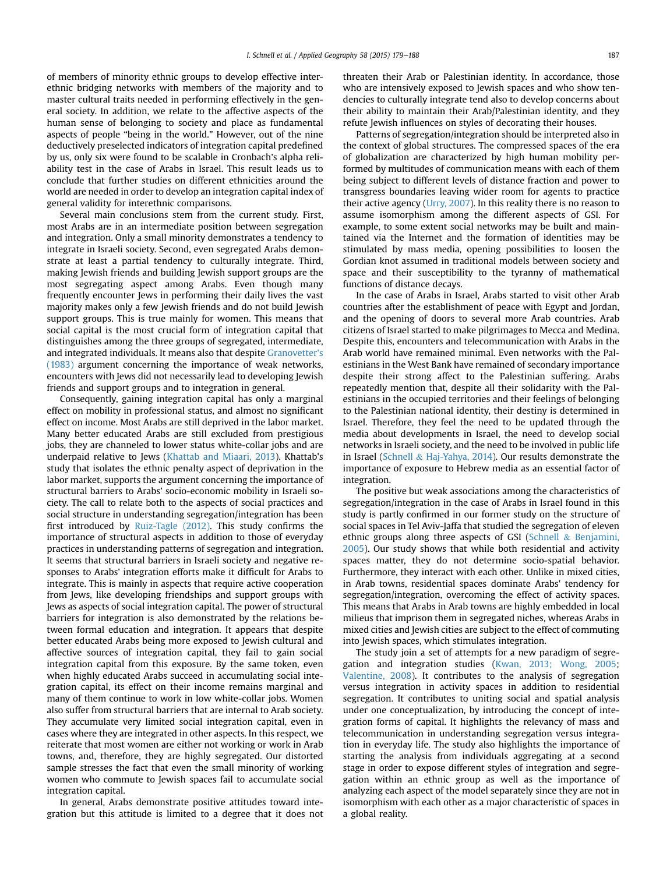of members of minority ethnic groups to develop effective interethnic bridging networks with members of the majority and to master cultural traits needed in performing effectively in the general society. In addition, we relate to the affective aspects of the human sense of belonging to society and place as fundamental aspects of people "being in the world." However, out of the nine deductively preselected indicators of integration capital predefined by us, only six were found to be scalable in Cronbach's alpha reliability test in the case of Arabs in Israel. This result leads us to conclude that further studies on different ethnicities around the world are needed in order to develop an integration capital index of general validity for interethnic comparisons.

Several main conclusions stem from the current study. First, most Arabs are in an intermediate position between segregation and integration. Only a small minority demonstrates a tendency to integrate in Israeli society. Second, even segregated Arabs demonstrate at least a partial tendency to culturally integrate. Third, making Jewish friends and building Jewish support groups are the most segregating aspect among Arabs. Even though many frequently encounter Jews in performing their daily lives the vast majority makes only a few Jewish friends and do not build Jewish support groups. This is true mainly for women. This means that social capital is the most crucial form of integration capital that distinguishes among the three groups of segregated, intermediate, and integrated individuals. It means also that despite [Granovetter's](#page-9-0) [\(1983\)](#page-9-0) argument concerning the importance of weak networks, encounters with Jews did not necessarily lead to developing Jewish friends and support groups and to integration in general.

Consequently, gaining integration capital has only a marginal effect on mobility in professional status, and almost no significant effect on income. Most Arabs are still deprived in the labor market. Many better educated Arabs are still excluded from prestigious jobs, they are channeled to lower status white-collar jobs and are underpaid relative to Jews ([Khattab and Miaari, 2013](#page-9-0)). Khattab's study that isolates the ethnic penalty aspect of deprivation in the labor market, supports the argument concerning the importance of structural barriers to Arabs' socio-economic mobility in Israeli society. The call to relate both to the aspects of social practices and social structure in understanding segregation/integration has been first introduced by [Ruiz-Tagle \(2012\).](#page-9-0) This study confirms the importance of structural aspects in addition to those of everyday practices in understanding patterns of segregation and integration. It seems that structural barriers in Israeli society and negative responses to Arabs' integration efforts make it difficult for Arabs to integrate. This is mainly in aspects that require active cooperation from Jews, like developing friendships and support groups with Jews as aspects of social integration capital. The power of structural barriers for integration is also demonstrated by the relations between formal education and integration. It appears that despite better educated Arabs being more exposed to Jewish cultural and affective sources of integration capital, they fail to gain social integration capital from this exposure. By the same token, even when highly educated Arabs succeed in accumulating social integration capital, its effect on their income remains marginal and many of them continue to work in low white-collar jobs. Women also suffer from structural barriers that are internal to Arab society. They accumulate very limited social integration capital, even in cases where they are integrated in other aspects. In this respect, we reiterate that most women are either not working or work in Arab towns, and, therefore, they are highly segregated. Our distorted sample stresses the fact that even the small minority of working women who commute to Jewish spaces fail to accumulate social integration capital.

In general, Arabs demonstrate positive attitudes toward integration but this attitude is limited to a degree that it does not threaten their Arab or Palestinian identity. In accordance, those who are intensively exposed to Jewish spaces and who show tendencies to culturally integrate tend also to develop concerns about their ability to maintain their Arab/Palestinian identity, and they refute Jewish influences on styles of decorating their houses.

Patterns of segregation/integration should be interpreted also in the context of global structures. The compressed spaces of the era of globalization are characterized by high human mobility performed by multitudes of communication means with each of them being subject to different levels of distance fraction and power to transgress boundaries leaving wider room for agents to practice their active agency [\(Urry, 2007\)](#page-9-0). In this reality there is no reason to assume isomorphism among the different aspects of GSI. For example, to some extent social networks may be built and maintained via the Internet and the formation of identities may be stimulated by mass media, opening possibilities to loosen the Gordian knot assumed in traditional models between society and space and their susceptibility to the tyranny of mathematical functions of distance decays.

In the case of Arabs in Israel, Arabs started to visit other Arab countries after the establishment of peace with Egypt and Jordan, and the opening of doors to several more Arab countries. Arab citizens of Israel started to make pilgrimages to Mecca and Medina. Despite this, encounters and telecommunication with Arabs in the Arab world have remained minimal. Even networks with the Palestinians in the West Bank have remained of secondary importance despite their strong affect to the Palestinian suffering. Arabs repeatedly mention that, despite all their solidarity with the Palestinians in the occupied territories and their feelings of belonging to the Palestinian national identity, their destiny is determined in Israel. Therefore, they feel the need to be updated through the media about developments in Israel, the need to develop social networks in Israeli society, and the need to be involved in public life in Israel ([Schnell](#page-9-0) & [Haj-Yahya, 2014](#page-9-0)). Our results demonstrate the importance of exposure to Hebrew media as an essential factor of integration.

The positive but weak associations among the characteristics of segregation/integration in the case of Arabs in Israel found in this study is partly confirmed in our former study on the structure of social spaces in Tel Aviv-Jaffa that studied the segregation of eleven ethnic groups along three aspects of GSI ([Schnell](#page-9-0) & [Benjamini,](#page-9-0) [2005\)](#page-9-0). Our study shows that while both residential and activity spaces matter, they do not determine socio-spatial behavior. Furthermore, they interact with each other. Unlike in mixed cities, in Arab towns, residential spaces dominate Arabs' tendency for segregation/integration, overcoming the effect of activity spaces. This means that Arabs in Arab towns are highly embedded in local milieus that imprison them in segregated niches, whereas Arabs in mixed cities and Jewish cities are subject to the effect of commuting into Jewish spaces, which stimulates integration.

The study join a set of attempts for a new paradigm of segregation and integration studies [\(Kwan, 2013; Wong, 2005;](#page-9-0) [Valentine, 2008\)](#page-9-0). It contributes to the analysis of segregation versus integration in activity spaces in addition to residential segregation. It contributes to uniting social and spatial analysis under one conceptualization, by introducing the concept of integration forms of capital. It highlights the relevancy of mass and telecommunication in understanding segregation versus integration in everyday life. The study also highlights the importance of starting the analysis from individuals aggregating at a second stage in order to expose different styles of integration and segregation within an ethnic group as well as the importance of analyzing each aspect of the model separately since they are not in isomorphism with each other as a major characteristic of spaces in a global reality.